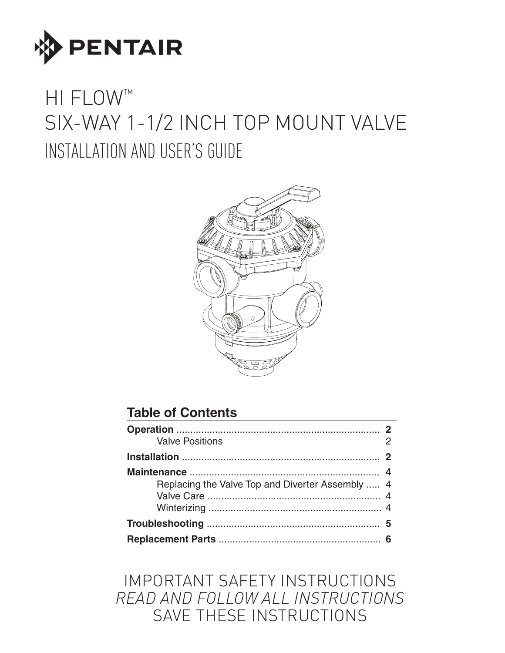

# HI FLOW™ SIX-WAY 1-1/2 INCH TOP MOUNT VALVE INSTALLATION AND USER'S GUIDE



### **Table of Contents**

| <b>Valve Positions</b>                           |  |  |  |
|--------------------------------------------------|--|--|--|
|                                                  |  |  |  |
| Replacing the Valve Top and Diverter Assembly  4 |  |  |  |
|                                                  |  |  |  |
|                                                  |  |  |  |

## IMPORTANT SAFETY INSTRUCTIONS *READ AND FOLLOW ALL INSTRUCTIONS* SAVE THESE INSTRUCTIONS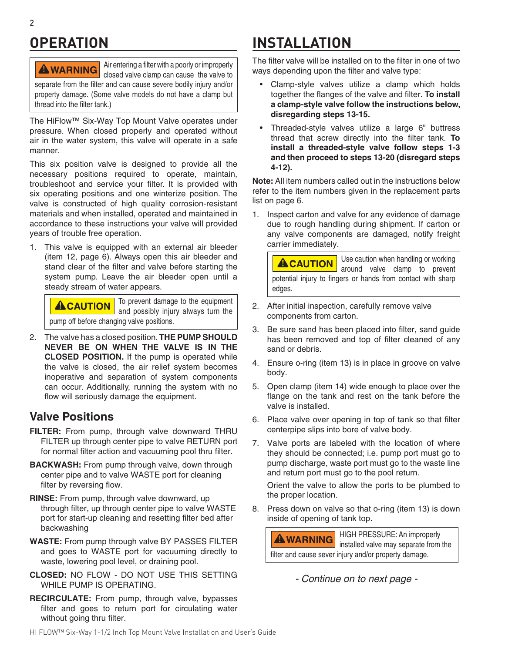## **OPERATION**

Air entering a filter with a poorly or improperly **AWARNING** closed valve clamp can cause the valve to separate from the filter and can cause severe bodily injury and/or property damage. (Some valve models do not have a clamp but thread into the filter tank.)

The HiFlow™ Six-Way Top Mount Valve operates under pressure. When closed properly and operated without air in the water system, this valve will operate in a safe manner.

This six position valve is designed to provide all the necessary positions required to operate, maintain, troubleshoot and service your filter. It is provided with six operating positions and one winterize position. The valve is constructed of high quality corrosion-resistant materials and when installed, operated and maintained in accordance to these instructions your valve will provided years of trouble free operation.

1. This valve is equipped with an external air bleeder (item 12, page 6). Always open this air bleeder and stand clear of the filter and valve before starting the system pump. Leave the air bleeder open until a steady stream of water appears.

To prevent damage to the equipment **ACAUTION** and possibly injury always turn the pump off before changing valve positions.

2. The valve has a closed position. **THE PUMP SHOULD NEVER BE ON WHEN THE VALVE IS IN THE CLOSED POSITION.** If the pump is operated while the valve is closed, the air relief system becomes inoperative and separation of system components can occur. Additionally, running the system with no flow will seriously damage the equipment.

#### **Valve Positions**

- **FILTER:** From pump, through valve downward THRU FILTER up through center pipe to valve RETURN port for normal filter action and vacuuming pool thru filter.
- **BACKWASH:** From pump through valve, down through center pipe and to valve WASTE port for cleaning filter by reversing flow.
- **RINSE:** From pump, through valve downward, up through filter, up through center pipe to valve WASTE port for start-up cleaning and resetting filter bed after backwashing
- **WASTE:** From pump through valve BY PASSES FILTER and goes to WASTE port for vacuuming directly to waste, lowering pool level, or draining pool.
- **CLOSED:** NO FLOW DO NOT USE THIS SETTING WHILE PUMP IS OPERATING.
- **RECIRCULATE:** From pump, through valve, bypasses filter and goes to return port for circulating water without going thru filter.

## **INSTALLATION**

The filter valve will be installed on to the filter in one of two ways depending upon the filter and valve type:

- Clamp-style valves utilize a clamp which holds together the flanges of the valve and filter. **To install a clamp-style valve follow the instructions below, disregarding steps 13-15.**
- Threaded-style valves utilize a large 6" buttress thread that screw directly into the filter tank. **To install a threaded-style valve follow steps 1-3 and then proceed to steps 13-20 (disregard steps 4-12).**

**Note:** All item numbers called out in the instructions below refer to the item numbers given in the replacement parts list on page 6.

1. Inspect carton and valve for any evidence of damage due to rough handling during shipment. If carton or any valve components are damaged, notify freight carrier immediately.

Use caution when handling or working **ACAUTION** around valve clamp to prevent potential injury to fingers or hands from contact with sharp edges.

- 2. After initial inspection, carefully remove valve components from carton.
- 3. Be sure sand has been placed into filter, sand guide has been removed and top of filter cleaned of any sand or debris.
- 4. Ensure o-ring (item 13) is in place in groove on valve body.
- 5. Open clamp (item 14) wide enough to place over the flange on the tank and rest on the tank before the valve is installed.
- 6. Place valve over opening in top of tank so that filter centerpipe slips into bore of valve body.
- 7. Valve ports are labeled with the location of where they should be connected; i.e. pump port must go to pump discharge, waste port must go to the waste line and return port must go to the pool return.

Orient the valve to allow the ports to be plumbed to the proper location.

8. Press down on valve so that o-ring (item 13) is down inside of opening of tank top.

HIGH PRESSURE: An improperly **AWARNING** installed valve may separate from the filter and cause sever injury and/or property damage.

*- Continue on to next page -*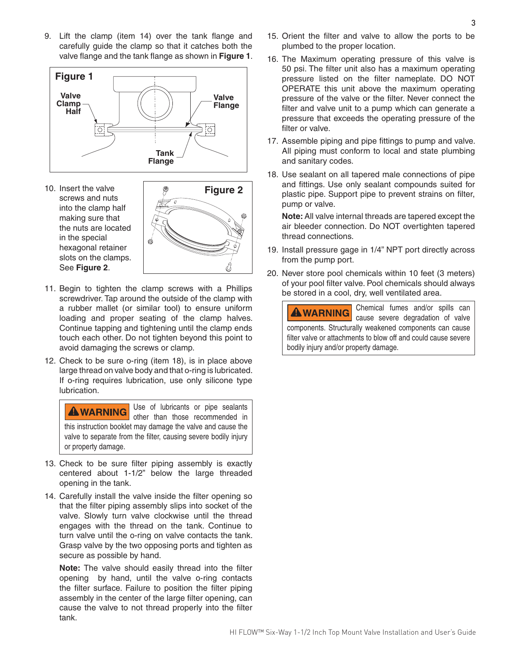9. Lift the clamp (item 14) over the tank flange and carefully guide the clamp so that it catches both the valve flange and the tank flange as shown in **Figure 1**.



10. Insert the valve screws and nuts into the clamp half making sure that the nuts are located in the special hexagonal retainer slots on the clamps. See **Figure 2**.



- 11. Begin to tighten the clamp screws with a Phillips screwdriver. Tap around the outside of the clamp with a rubber mallet (or similar tool) to ensure uniform loading and proper seating of the clamp halves. Continue tapping and tightening until the clamp ends touch each other. Do not tighten beyond this point to avoid damaging the screws or clamp.
- 12. Check to be sure o-ring (item 18), is in place above large thread on valve body and that o-ring is lubricated. If o-ring requires lubrication, use only silicone type lubrication.

Use of lubricants or pipe sealants **AWARNING** other than those recommended in this instruction booklet may damage the valve and cause the valve to separate from the filter, causing severe bodily injury or property damage.

- 13. Check to be sure filter piping assembly is exactly centered about 1-1/2" below the large threaded opening in the tank.
- 14. Carefully install the valve inside the filter opening so that the filter piping assembly slips into socket of the valve. Slowly turn valve clockwise until the thread engages with the thread on the tank. Continue to turn valve until the o-ring on valve contacts the tank. Grasp valve by the two opposing ports and tighten as secure as possible by hand.

**Note:** The valve should easily thread into the filter opening by hand, until the valve o-ring contacts the filter surface. Failure to position the filter piping assembly in the center of the large filter opening, can cause the valve to not thread properly into the filter tank.

- 15. Orient the filter and valve to allow the ports to be plumbed to the proper location.
- 16. The Maximum operating pressure of this valve is 50 psi. The filter unit also has a maximum operating pressure listed on the filter nameplate. DO NOT OPERATE this unit above the maximum operating pressure of the valve or the filter. Never connect the filter and valve unit to a pump which can generate a pressure that exceeds the operating pressure of the filter or valve.
- 17. Assemble piping and pipe fittings to pump and valve. All piping must conform to local and state plumbing and sanitary codes.
- 18. Use sealant on all tapered male connections of pipe and fittings. Use only sealant compounds suited for plastic pipe. Support pipe to prevent strains on filter, pump or valve.

**Note:** All valve internal threads are tapered except the air bleeder connection. Do NOT overtighten tapered thread connections.

- 19. Install pressure gage in 1/4" NPT port directly across from the pump port.
- 20. Never store pool chemicals within 10 feet (3 meters) of your pool filter valve. Pool chemicals should always be stored in a cool, dry, well ventilated area.

Chemical fumes and/or spills can **AWARNING** cause severe degradation of valve components. Structurally weakened components can cause filter valve or attachments to blow off and could cause severe bodily injury and/or property damage.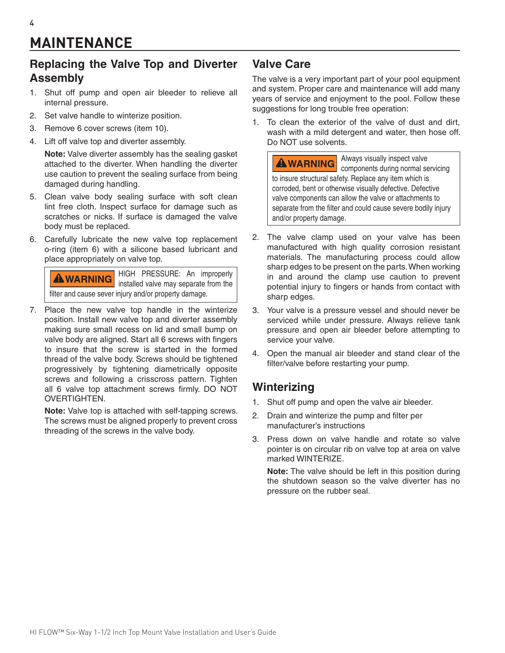## **MAINTENANCE**

#### **Replacing the Valve Top and Diverter Assembly**

- 1. Shut off pump and open air bleeder to relieve all internal pressure.
- 2. Set valve handle to winterize position.
- 3. Remove 6 cover screws (item 10).
- 4. Lift off valve top and diverter assembly.

**Note:** Valve diverter assembly has the sealing gasket attached to the diverter. When handling the diverter use caution to prevent the sealing surface from being damaged during handling.

- 5. Clean valve body sealing surface with soft clean lint free cloth. Inspect surface for damage such as scratches or nicks. If surface is damaged the valve body must be replaced.
- 6. Carefully lubricate the new valve top replacement o-ring (item 6) with a silicone based lubricant and place appropriately on valve top.

HIGH PRESSURE: An improperly **AWARNING** installed valve may separate from the filter and cause sever injury and/or property damage.

7. Place the new valve top handle in the winterize position. Install new valve top and diverter assembly making sure small recess on lid and small bump on valve body are aligned. Start all 6 screws with fingers to insure that the screw is started in the formed thread of the valve body. Screws should be tightened progressively by tightening diametrically opposite screws and following a crisscross pattern. Tighten all 6 valve top attachment screws firmly. DO NOT OVERTIGHTEN.

**Note:** Valve top is attached with self-tapping screws. The screws must be aligned properly to prevent cross threading of the screws in the valve body.

#### **Valve Care**

The valve is a very important part of your pool equipment and system. Proper care and maintenance will add many years of service and enjoyment to the pool. Follow these suggestions for long trouble free operation:

1. To clean the exterior of the valve of dust and dirt, wash with a mild detergent and water, then hose off. Do NOT use solvents.

Always visually inspect valve **AWARNING** components during normal servicing to insure structural safety. Replace any item which is corroded, bent or otherwise visually defective. Defective valve components can allow the valve or attachments to separate from the filter and could cause severe bodily injury and/or property damage.

- 2. The valve clamp used on your valve has been manufactured with high quality corrosion resistant materials. The manufacturing process could allow sharp edges to be present on the parts. When working in and around the clamp use caution to prevent potential injury to fingers or hands from contact with sharp edges.
- 3. Your valve is a pressure vessel and should never be serviced while under pressure. Always relieve tank pressure and open air bleeder before attempting to service your valve.
- 4. Open the manual air bleeder and stand clear of the filter/valve before restarting your pump.

#### **Winterizing**

- 1. Shut off pump and open the valve air bleeder.
- 2. Drain and winterize the pump and filter per manufacturer's instructions
- 3. Press down on valve handle and rotate so valve pointer is on circular rib on valve top at area on valve marked WINTERIZE.

**Note:** The valve should be left in this position during the shutdown season so the valve diverter has no pressure on the rubber seal.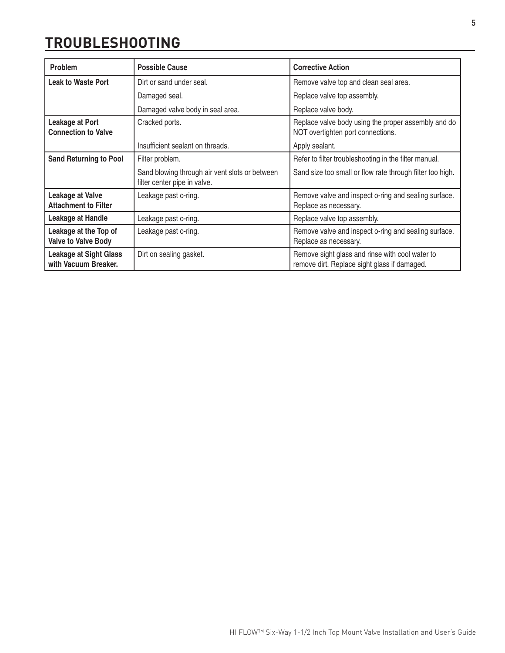### **TROUBLESHOOTING**

| Problem                                                | <b>Possible Cause</b>                                                                                      | <b>Corrective Action</b>                                                                        |  |
|--------------------------------------------------------|------------------------------------------------------------------------------------------------------------|-------------------------------------------------------------------------------------------------|--|
| <b>Leak to Waste Port</b>                              | Dirt or sand under seal.<br>Remove valve top and clean seal area.                                          |                                                                                                 |  |
|                                                        | Damaged seal.                                                                                              | Replace valve top assembly.                                                                     |  |
|                                                        | Damaged valve body in seal area.                                                                           | Replace valve body.                                                                             |  |
| <b>Leakage at Port</b><br><b>Connection to Valve</b>   | Replace valve body using the proper assembly and do<br>Cracked ports.<br>NOT overtighten port connections. |                                                                                                 |  |
|                                                        | Insufficient sealant on threads.                                                                           | Apply sealant.                                                                                  |  |
| <b>Sand Returning to Pool</b>                          | Filter problem.                                                                                            | Refer to filter troubleshooting in the filter manual.                                           |  |
|                                                        | Sand blowing through air vent slots or between<br>filter center pipe in valve.                             | Sand size too small or flow rate through filter too high.                                       |  |
| <b>Leakage at Valve</b><br><b>Attachment to Filter</b> | Remove valve and inspect o-ring and sealing surface.<br>Leakage past o-ring.<br>Replace as necessary.      |                                                                                                 |  |
| <b>Leakage at Handle</b>                               | Leakage past o-ring.                                                                                       | Replace valve top assembly.                                                                     |  |
| Leakage at the Top of<br><b>Valve to Valve Body</b>    | Leakage past o-ring.                                                                                       | Remove valve and inspect o-ring and sealing surface.<br>Replace as necessary.                   |  |
| <b>Leakage at Sight Glass</b><br>with Vacuum Breaker.  | Dirt on sealing gasket.                                                                                    | Remove sight glass and rinse with cool water to<br>remove dirt. Replace sight glass if damaged. |  |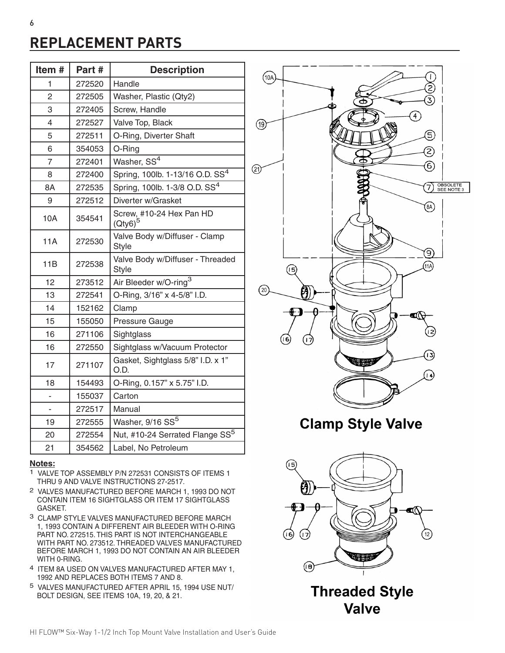## **REPLACEMENT PARTS**

| Item#                    | Part # | <b>Description</b>                               |
|--------------------------|--------|--------------------------------------------------|
| 1                        | 272520 | Handle                                           |
| $\overline{2}$           | 272505 | Washer, Plastic (Qty2)                           |
| 3                        | 272405 | Screw, Handle                                    |
| 4                        | 272527 | Valve Top, Black                                 |
| 5                        | 272511 | O-Ring, Diverter Shaft                           |
| 6                        | 354053 | O-Ring                                           |
| $\overline{7}$           | 272401 | Washer, SS <sup>4</sup>                          |
| 8                        | 272400 | Spring, 100lb. 1-13/16 O.D. SS <sup>4</sup>      |
| 8A                       | 272535 | Spring, 100lb. 1-3/8 O.D. SS <sup>4</sup>        |
| 9                        | 272512 | Diverter w/Grasket                               |
| 10A                      | 354541 | Screw, #10-24 Hex Pan HD<br>$(Qty6)^5$           |
| 11A                      | 272530 | Valve Body w/Diffuser - Clamp<br><b>Style</b>    |
| 11B                      | 272538 | Valve Body w/Diffuser - Threaded<br><b>Style</b> |
| 12                       | 273512 | Air Bleeder w/O-ring <sup>3</sup>                |
| 13                       | 272541 | O-Ring, 3/16" x 4-5/8" I.D.                      |
| 14                       | 152162 | Clamp                                            |
| 15                       | 155050 | Pressure Gauge                                   |
| 16                       | 271106 | Sightglass                                       |
| 16                       | 272550 | Sightglass w/Vacuum Protector                    |
| 17                       | 271107 | Gasket, Sightglass 5/8" I.D. x 1"<br>O.D.        |
| 18                       | 154493 | O-Ring, 0.157" x 5.75" I.D.                      |
| $\overline{\phantom{0}}$ | 155037 | Carton                                           |
|                          | 272517 | Manual                                           |
| 19                       | 272555 | Washer, 9/16 SS <sup>5</sup>                     |
| 20                       | 272554 | Nut, #10-24 Serrated Flange SS <sup>5</sup>      |
| 21                       | 354562 | Label, No Petroleum                              |

#### **Notes:**

- 1 VALVE TOP ASSEMBLY P/N 272531 CONSISTS OF ITEMS 1 THRU 9 AND VALVE INSTRUCTIONS 27-2517.
- 2 VALVES MANUFACTURED BEFORE MARCH 1, 1993 DO NOT CONTAIN ITEM 16 SIGHTGLASS OR ITEM 17 SIGHTGLASS GASKET.
- 3 CLAMP STYLE VALVES MANUFACTURED BEFORE MARCH 1, 1993 CONTAIN A DIFFERENT AIR BLEEDER WITH O-RING PART NO. 272515. THIS PART IS NOT INTERCHANGEABLE WITH PART NO. 273512. THREADED VALVES MANUFACTURED BEFORE MARCH 1, 1993 DO NOT CONTAIN AN AIR BLEEDER WITH 0-RING.
- 4 ITEM 8A USED ON VALVES MANUFACTURED AFTER MAY 1, 1992 AND REPLACES BOTH ITEMS 7 AND 8.
- 5 VALVES MANUFACTURED AFTER APRIL 15, 1994 USE NUT/ BOLT DESIGN, SEE ITEMS 10A, 19, 20, & 21.



**Clamp Style Valve** 



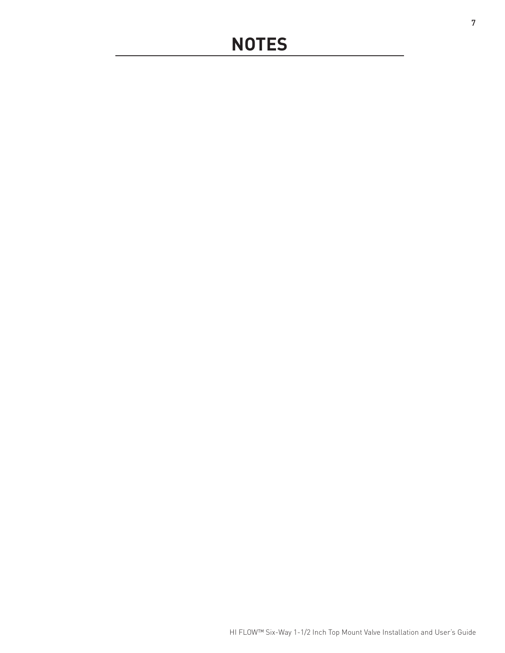## **NOTES**